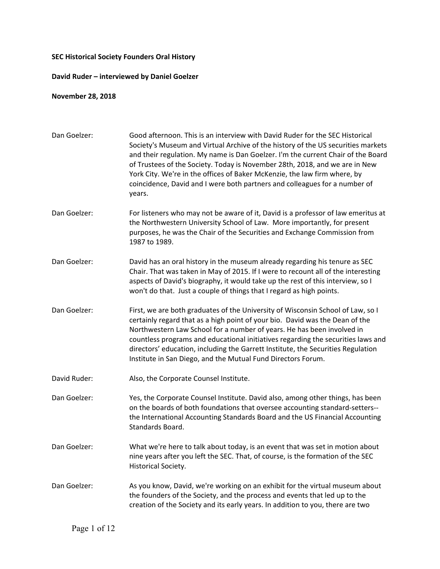## **SEC Historical Society Founders Oral History**

## **David Ruder – interviewed by Daniel Goelzer**

## **November 28, 2018**

| Dan Goelzer: | Good afternoon. This is an interview with David Ruder for the SEC Historical<br>Society's Museum and Virtual Archive of the history of the US securities markets<br>and their regulation. My name is Dan Goelzer. I'm the current Chair of the Board<br>of Trustees of the Society. Today is November 28th, 2018, and we are in New<br>York City. We're in the offices of Baker McKenzie, the law firm where, by<br>coincidence, David and I were both partners and colleagues for a number of<br>years. |
|--------------|----------------------------------------------------------------------------------------------------------------------------------------------------------------------------------------------------------------------------------------------------------------------------------------------------------------------------------------------------------------------------------------------------------------------------------------------------------------------------------------------------------|
| Dan Goelzer: | For listeners who may not be aware of it, David is a professor of law emeritus at<br>the Northwestern University School of Law. More importantly, for present<br>purposes, he was the Chair of the Securities and Exchange Commission from<br>1987 to 1989.                                                                                                                                                                                                                                              |
| Dan Goelzer: | David has an oral history in the museum already regarding his tenure as SEC<br>Chair. That was taken in May of 2015. If I were to recount all of the interesting<br>aspects of David's biography, it would take up the rest of this interview, so I<br>won't do that. Just a couple of things that I regard as high points.                                                                                                                                                                              |
| Dan Goelzer: | First, we are both graduates of the University of Wisconsin School of Law, so I<br>certainly regard that as a high point of your bio. David was the Dean of the<br>Northwestern Law School for a number of years. He has been involved in<br>countless programs and educational initiatives regarding the securities laws and<br>directors' education, including the Garrett Institute, the Securities Regulation<br>Institute in San Diego, and the Mutual Fund Directors Forum.                        |
| David Ruder: | Also, the Corporate Counsel Institute.                                                                                                                                                                                                                                                                                                                                                                                                                                                                   |
| Dan Goelzer: | Yes, the Corporate Counsel Institute. David also, among other things, has been<br>on the boards of both foundations that oversee accounting standard-setters--<br>the International Accounting Standards Board and the US Financial Accounting<br>Standards Board.                                                                                                                                                                                                                                       |
| Dan Goelzer: | What we're here to talk about today, is an event that was set in motion about<br>nine years after you left the SEC. That, of course, is the formation of the SEC<br>Historical Society.                                                                                                                                                                                                                                                                                                                  |
| Dan Goelzer: | As you know, David, we're working on an exhibit for the virtual museum about<br>the founders of the Society, and the process and events that led up to the<br>creation of the Society and its early years. In addition to you, there are two                                                                                                                                                                                                                                                             |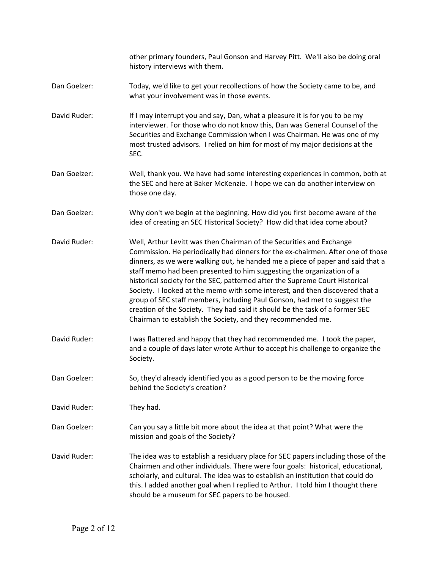other primary founders, Paul Gonson and Harvey Pitt. We'll also be doing oral history interviews with them.

- Dan Goelzer: Today, we'd like to get your recollections of how the Society came to be, and what your involvement was in those events.
- David Ruder: If I may interrupt you and say, Dan, what a pleasure it is for you to be my interviewer. For those who do not know this, Dan was General Counsel of the Securities and Exchange Commission when I was Chairman. He was one of my most trusted advisors. I relied on him for most of my major decisions at the SEC.
- Dan Goelzer: Well, thank you. We have had some interesting experiences in common, both at the SEC and here at Baker McKenzie. I hope we can do another interview on those one day.
- Dan Goelzer: Why don't we begin at the beginning. How did you first become aware of the idea of creating an SEC Historical Society? How did that idea come about?
- David Ruder: Well, Arthur Levitt was then Chairman of the Securities and Exchange Commission. He periodically had dinners for the ex-chairmen. After one of those dinners, as we were walking out, he handed me a piece of paper and said that a staff memo had been presented to him suggesting the organization of a historical society for the SEC, patterned after the Supreme Court Historical Society. I looked at the memo with some interest, and then discovered that a group of SEC staff members, including Paul Gonson, had met to suggest the creation of the Society. They had said it should be the task of a former SEC Chairman to establish the Society, and they recommended me.
- David Ruder: I was flattered and happy that they had recommended me. I took the paper, and a couple of days later wrote Arthur to accept his challenge to organize the Society.
- Dan Goelzer: So, they'd already identified you as a good person to be the moving force behind the Society's creation?

David Ruder: They had.

- Dan Goelzer: Can you say a little bit more about the idea at that point? What were the mission and goals of the Society?
- David Ruder: The idea was to establish a residuary place for SEC papers including those of the Chairmen and other individuals. There were four goals: historical, educational, scholarly, and cultural. The idea was to establish an institution that could do this. I added another goal when I replied to Arthur. I told him I thought there should be a museum for SEC papers to be housed.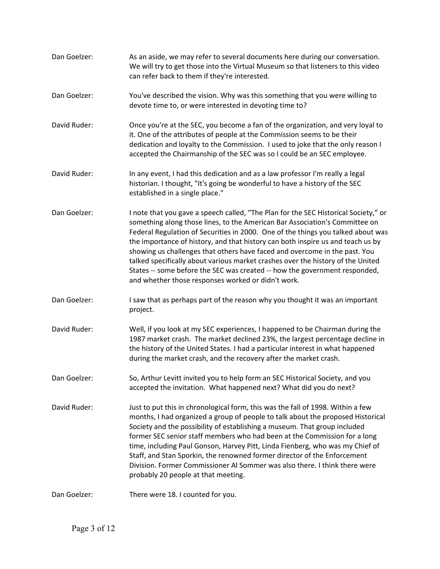| Dan Goelzer: | As an aside, we may refer to several documents here during our conversation.<br>We will try to get those into the Virtual Museum so that listeners to this video<br>can refer back to them if they're interested.                                                                                                                                                                                                                                                                                                                                                                                                                              |
|--------------|------------------------------------------------------------------------------------------------------------------------------------------------------------------------------------------------------------------------------------------------------------------------------------------------------------------------------------------------------------------------------------------------------------------------------------------------------------------------------------------------------------------------------------------------------------------------------------------------------------------------------------------------|
| Dan Goelzer: | You've described the vision. Why was this something that you were willing to<br>devote time to, or were interested in devoting time to?                                                                                                                                                                                                                                                                                                                                                                                                                                                                                                        |
| David Ruder: | Once you're at the SEC, you become a fan of the organization, and very loyal to<br>it. One of the attributes of people at the Commission seems to be their<br>dedication and loyalty to the Commission. I used to joke that the only reason I<br>accepted the Chairmanship of the SEC was so I could be an SEC employee.                                                                                                                                                                                                                                                                                                                       |
| David Ruder: | In any event, I had this dedication and as a law professor I'm really a legal<br>historian. I thought, "It's going be wonderful to have a history of the SEC<br>established in a single place."                                                                                                                                                                                                                                                                                                                                                                                                                                                |
| Dan Goelzer: | I note that you gave a speech called, "The Plan for the SEC Historical Society," or<br>something along those lines, to the American Bar Association's Committee on<br>Federal Regulation of Securities in 2000. One of the things you talked about was<br>the importance of history, and that history can both inspire us and teach us by<br>showing us challenges that others have faced and overcome in the past. You<br>talked specifically about various market crashes over the history of the United<br>States -- some before the SEC was created -- how the government responded,<br>and whether those responses worked or didn't work. |
| Dan Goelzer: | I saw that as perhaps part of the reason why you thought it was an important<br>project.                                                                                                                                                                                                                                                                                                                                                                                                                                                                                                                                                       |
| David Ruder: | Well, if you look at my SEC experiences, I happened to be Chairman during the<br>1987 market crash. The market declined 23%, the largest percentage decline in<br>the history of the United States. I had a particular interest in what happened<br>during the market crash, and the recovery after the market crash.                                                                                                                                                                                                                                                                                                                          |
| Dan Goelzer: | So, Arthur Levitt invited you to help form an SEC Historical Society, and you<br>accepted the invitation. What happened next? What did you do next?                                                                                                                                                                                                                                                                                                                                                                                                                                                                                            |
| David Ruder: | Just to put this in chronological form, this was the fall of 1998. Within a few<br>months, I had organized a group of people to talk about the proposed Historical<br>Society and the possibility of establishing a museum. That group included<br>former SEC senior staff members who had been at the Commission for a long<br>time, including Paul Gonson, Harvey Pitt, Linda Fienberg, who was my Chief of<br>Staff, and Stan Sporkin, the renowned former director of the Enforcement<br>Division. Former Commissioner Al Sommer was also there. I think there were<br>probably 20 people at that meeting.                                 |
| Dan Goelzer: | There were 18. I counted for you.                                                                                                                                                                                                                                                                                                                                                                                                                                                                                                                                                                                                              |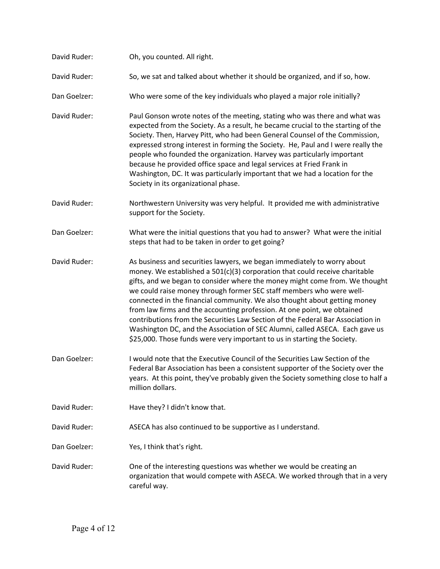| David Ruder: | Oh, you counted. All right.                                                                                                                                                                                                                                                                                                                                                                                                                                                                                                                                                                                                                                                                                          |
|--------------|----------------------------------------------------------------------------------------------------------------------------------------------------------------------------------------------------------------------------------------------------------------------------------------------------------------------------------------------------------------------------------------------------------------------------------------------------------------------------------------------------------------------------------------------------------------------------------------------------------------------------------------------------------------------------------------------------------------------|
| David Ruder: | So, we sat and talked about whether it should be organized, and if so, how.                                                                                                                                                                                                                                                                                                                                                                                                                                                                                                                                                                                                                                          |
| Dan Goelzer: | Who were some of the key individuals who played a major role initially?                                                                                                                                                                                                                                                                                                                                                                                                                                                                                                                                                                                                                                              |
| David Ruder: | Paul Gonson wrote notes of the meeting, stating who was there and what was<br>expected from the Society. As a result, he became crucial to the starting of the<br>Society. Then, Harvey Pitt, who had been General Counsel of the Commission,<br>expressed strong interest in forming the Society. He, Paul and I were really the<br>people who founded the organization. Harvey was particularly important<br>because he provided office space and legal services at Fried Frank in<br>Washington, DC. It was particularly important that we had a location for the<br>Society in its organizational phase.                                                                                                         |
| David Ruder: | Northwestern University was very helpful. It provided me with administrative<br>support for the Society.                                                                                                                                                                                                                                                                                                                                                                                                                                                                                                                                                                                                             |
| Dan Goelzer: | What were the initial questions that you had to answer? What were the initial<br>steps that had to be taken in order to get going?                                                                                                                                                                                                                                                                                                                                                                                                                                                                                                                                                                                   |
| David Ruder: | As business and securities lawyers, we began immediately to worry about<br>money. We established a 501(c)(3) corporation that could receive charitable<br>gifts, and we began to consider where the money might come from. We thought<br>we could raise money through former SEC staff members who were well-<br>connected in the financial community. We also thought about getting money<br>from law firms and the accounting profession. At one point, we obtained<br>contributions from the Securities Law Section of the Federal Bar Association in<br>Washington DC, and the Association of SEC Alumni, called ASECA. Each gave us<br>\$25,000. Those funds were very important to us in starting the Society. |
| Dan Goelzer: | I would note that the Executive Council of the Securities Law Section of the<br>Federal Bar Association has been a consistent supporter of the Society over the<br>years. At this point, they've probably given the Society something close to half a<br>million dollars.                                                                                                                                                                                                                                                                                                                                                                                                                                            |
| David Ruder: | Have they? I didn't know that.                                                                                                                                                                                                                                                                                                                                                                                                                                                                                                                                                                                                                                                                                       |
| David Ruder: | ASECA has also continued to be supportive as I understand.                                                                                                                                                                                                                                                                                                                                                                                                                                                                                                                                                                                                                                                           |
| Dan Goelzer: | Yes, I think that's right.                                                                                                                                                                                                                                                                                                                                                                                                                                                                                                                                                                                                                                                                                           |
| David Ruder: | One of the interesting questions was whether we would be creating an<br>organization that would compete with ASECA. We worked through that in a very<br>careful way.                                                                                                                                                                                                                                                                                                                                                                                                                                                                                                                                                 |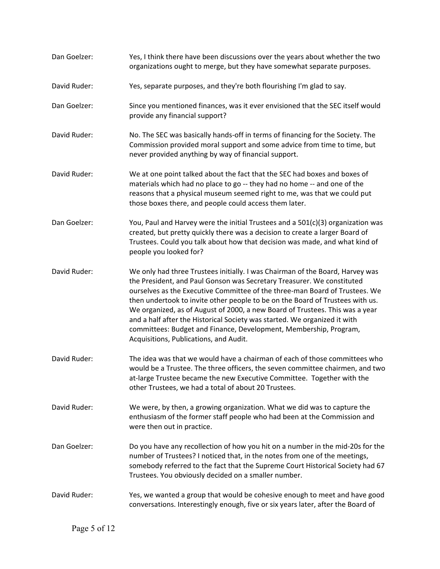| Dan Goelzer: | Yes, I think there have been discussions over the years about whether the two<br>organizations ought to merge, but they have somewhat separate purposes.                                                                                                                                                                                                                                                                                                                                                                                                                                            |
|--------------|-----------------------------------------------------------------------------------------------------------------------------------------------------------------------------------------------------------------------------------------------------------------------------------------------------------------------------------------------------------------------------------------------------------------------------------------------------------------------------------------------------------------------------------------------------------------------------------------------------|
| David Ruder: | Yes, separate purposes, and they're both flourishing I'm glad to say.                                                                                                                                                                                                                                                                                                                                                                                                                                                                                                                               |
| Dan Goelzer: | Since you mentioned finances, was it ever envisioned that the SEC itself would<br>provide any financial support?                                                                                                                                                                                                                                                                                                                                                                                                                                                                                    |
| David Ruder: | No. The SEC was basically hands-off in terms of financing for the Society. The<br>Commission provided moral support and some advice from time to time, but<br>never provided anything by way of financial support.                                                                                                                                                                                                                                                                                                                                                                                  |
| David Ruder: | We at one point talked about the fact that the SEC had boxes and boxes of<br>materials which had no place to go -- they had no home -- and one of the<br>reasons that a physical museum seemed right to me, was that we could put<br>those boxes there, and people could access them later.                                                                                                                                                                                                                                                                                                         |
| Dan Goelzer: | You, Paul and Harvey were the initial Trustees and a 501(c)(3) organization was<br>created, but pretty quickly there was a decision to create a larger Board of<br>Trustees. Could you talk about how that decision was made, and what kind of<br>people you looked for?                                                                                                                                                                                                                                                                                                                            |
| David Ruder: | We only had three Trustees initially. I was Chairman of the Board, Harvey was<br>the President, and Paul Gonson was Secretary Treasurer. We constituted<br>ourselves as the Executive Committee of the three-man Board of Trustees. We<br>then undertook to invite other people to be on the Board of Trustees with us.<br>We organized, as of August of 2000, a new Board of Trustees. This was a year<br>and a half after the Historical Society was started. We organized it with<br>committees: Budget and Finance, Development, Membership, Program,<br>Acquisitions, Publications, and Audit. |
| David Ruder: | The idea was that we would have a chairman of each of those committees who<br>would be a Trustee. The three officers, the seven committee chairmen, and two<br>at-large Trustee became the new Executive Committee. Together with the<br>other Trustees, we had a total of about 20 Trustees.                                                                                                                                                                                                                                                                                                       |
| David Ruder: | We were, by then, a growing organization. What we did was to capture the<br>enthusiasm of the former staff people who had been at the Commission and<br>were then out in practice.                                                                                                                                                                                                                                                                                                                                                                                                                  |
| Dan Goelzer: | Do you have any recollection of how you hit on a number in the mid-20s for the<br>number of Trustees? I noticed that, in the notes from one of the meetings,<br>somebody referred to the fact that the Supreme Court Historical Society had 67<br>Trustees. You obviously decided on a smaller number.                                                                                                                                                                                                                                                                                              |
| David Ruder: | Yes, we wanted a group that would be cohesive enough to meet and have good<br>conversations. Interestingly enough, five or six years later, after the Board of                                                                                                                                                                                                                                                                                                                                                                                                                                      |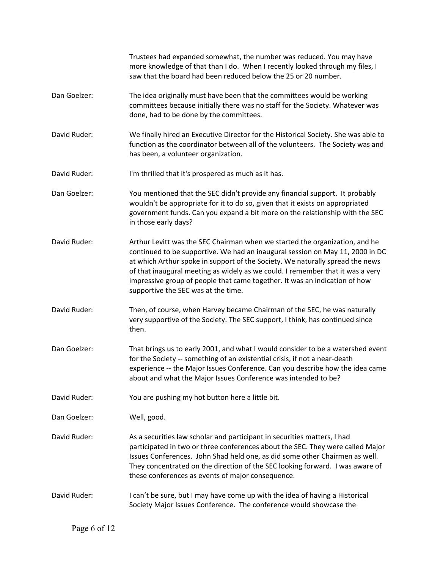|              | Trustees had expanded somewhat, the number was reduced. You may have<br>more knowledge of that than I do. When I recently looked through my files, I<br>saw that the board had been reduced below the 25 or 20 number.                                                                                                                                                                                                                               |
|--------------|------------------------------------------------------------------------------------------------------------------------------------------------------------------------------------------------------------------------------------------------------------------------------------------------------------------------------------------------------------------------------------------------------------------------------------------------------|
| Dan Goelzer: | The idea originally must have been that the committees would be working<br>committees because initially there was no staff for the Society. Whatever was<br>done, had to be done by the committees.                                                                                                                                                                                                                                                  |
| David Ruder: | We finally hired an Executive Director for the Historical Society. She was able to<br>function as the coordinator between all of the volunteers. The Society was and<br>has been, a volunteer organization.                                                                                                                                                                                                                                          |
| David Ruder: | I'm thrilled that it's prospered as much as it has.                                                                                                                                                                                                                                                                                                                                                                                                  |
| Dan Goelzer: | You mentioned that the SEC didn't provide any financial support. It probably<br>wouldn't be appropriate for it to do so, given that it exists on appropriated<br>government funds. Can you expand a bit more on the relationship with the SEC<br>in those early days?                                                                                                                                                                                |
| David Ruder: | Arthur Levitt was the SEC Chairman when we started the organization, and he<br>continued to be supportive. We had an inaugural session on May 11, 2000 in DC<br>at which Arthur spoke in support of the Society. We naturally spread the news<br>of that inaugural meeting as widely as we could. I remember that it was a very<br>impressive group of people that came together. It was an indication of how<br>supportive the SEC was at the time. |
| David Ruder: | Then, of course, when Harvey became Chairman of the SEC, he was naturally<br>very supportive of the Society. The SEC support, I think, has continued since<br>then.                                                                                                                                                                                                                                                                                  |
| Dan Goelzer: | That brings us to early 2001, and what I would consider to be a watershed event<br>for the Society -- something of an existential crisis, if not a near-death<br>experience -- the Major Issues Conference. Can you describe how the idea came<br>about and what the Major Issues Conference was intended to be?                                                                                                                                     |
| David Ruder: | You are pushing my hot button here a little bit.                                                                                                                                                                                                                                                                                                                                                                                                     |
| Dan Goelzer: | Well, good.                                                                                                                                                                                                                                                                                                                                                                                                                                          |
| David Ruder: | As a securities law scholar and participant in securities matters, I had<br>participated in two or three conferences about the SEC. They were called Major<br>Issues Conferences. John Shad held one, as did some other Chairmen as well.<br>They concentrated on the direction of the SEC looking forward. I was aware of<br>these conferences as events of major consequence.                                                                      |
| David Ruder: | I can't be sure, but I may have come up with the idea of having a Historical<br>Society Major Issues Conference. The conference would showcase the                                                                                                                                                                                                                                                                                                   |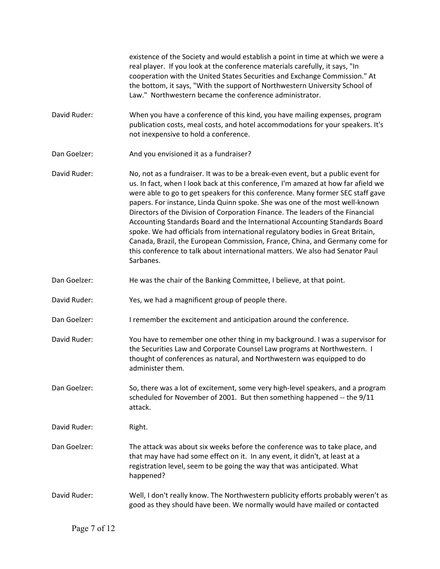existence of the Society and would establish a point in time at which we were a real player. If you look at the conference materials carefully, it says, "In cooperation with the United States Securities and Exchange Commission." At the bottom, it says, "With the support of Northwestern University School of Law." Northwestern became the conference administrator.

- David Ruder: When you have a conference of this kind, you have mailing expenses, program publication costs, meal costs, and hotel accommodations for your speakers. It's not inexpensive to hold a conference.
- Dan Goelzer: And you envisioned it as a fundraiser?
- David Ruder: No, not as a fundraiser. It was to be a break-even event, but a public event for us. In fact, when I look back at this conference, I'm amazed at how far afield we were able to go to get speakers for this conference. Many former SEC staff gave papers. For instance, Linda Quinn spoke. She was one of the most well-known Directors of the Division of Corporation Finance. The leaders of the Financial Accounting Standards Board and the International Accounting Standards Board spoke. We had officials from international regulatory bodies in Great Britain, Canada, Brazil, the European Commission, France, China, and Germany come for this conference to talk about international matters. We also had Senator Paul Sarbanes.
- Dan Goelzer: He was the chair of the Banking Committee, I believe, at that point.
- David Ruder: Yes, we had a magnificent group of people there.
- Dan Goelzer: I remember the excitement and anticipation around the conference.
- David Ruder: You have to remember one other thing in my background. I was a supervisor for the Securities Law and Corporate Counsel Law programs at Northwestern. I thought of conferences as natural, and Northwestern was equipped to do administer them.
- Dan Goelzer: So, there was a lot of excitement, some very high-level speakers, and a program scheduled for November of 2001. But then something happened -- the 9/11 attack.
- David Ruder: Right.
- Dan Goelzer: The attack was about six weeks before the conference was to take place, and that may have had some effect on it. In any event, it didn't, at least at a registration level, seem to be going the way that was anticipated. What happened?
- David Ruder: Well, I don't really know. The Northwestern publicity efforts probably weren't as good as they should have been. We normally would have mailed or contacted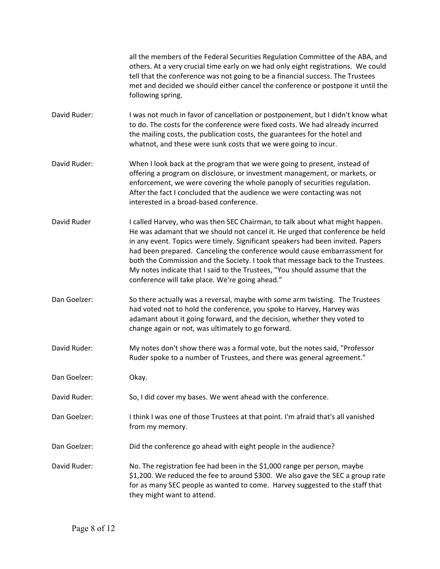|              | all the members of the Federal Securities Regulation Committee of the ABA, and<br>others. At a very crucial time early on we had only eight registrations. We could<br>tell that the conference was not going to be a financial success. The Trustees<br>met and decided we should either cancel the conference or postpone it until the<br>following spring.                                                                                                                                                                                    |
|--------------|--------------------------------------------------------------------------------------------------------------------------------------------------------------------------------------------------------------------------------------------------------------------------------------------------------------------------------------------------------------------------------------------------------------------------------------------------------------------------------------------------------------------------------------------------|
| David Ruder: | I was not much in favor of cancellation or postponement, but I didn't know what<br>to do. The costs for the conference were fixed costs. We had already incurred<br>the mailing costs, the publication costs, the guarantees for the hotel and<br>whatnot, and these were sunk costs that we were going to incur.                                                                                                                                                                                                                                |
| David Ruder: | When I look back at the program that we were going to present, instead of<br>offering a program on disclosure, or investment management, or markets, or<br>enforcement, we were covering the whole panoply of securities regulation.<br>After the fact I concluded that the audience we were contacting was not<br>interested in a broad-based conference.                                                                                                                                                                                       |
| David Ruder  | I called Harvey, who was then SEC Chairman, to talk about what might happen.<br>He was adamant that we should not cancel it. He urged that conference be held<br>in any event. Topics were timely. Significant speakers had been invited. Papers<br>had been prepared. Canceling the conference would cause embarrassment for<br>both the Commission and the Society. I took that message back to the Trustees.<br>My notes indicate that I said to the Trustees, "You should assume that the<br>conference will take place. We're going ahead." |
| Dan Goelzer: | So there actually was a reversal, maybe with some arm twisting. The Trustees<br>had voted not to hold the conference, you spoke to Harvey, Harvey was<br>adamant about it going forward, and the decision, whether they voted to<br>change again or not, was ultimately to go forward.                                                                                                                                                                                                                                                           |
| David Ruder: | My notes don't show there was a formal vote, but the notes said, "Professor<br>Ruder spoke to a number of Trustees, and there was general agreement."                                                                                                                                                                                                                                                                                                                                                                                            |
| Dan Goelzer: | Okay.                                                                                                                                                                                                                                                                                                                                                                                                                                                                                                                                            |
| David Ruder: | So, I did cover my bases. We went ahead with the conference.                                                                                                                                                                                                                                                                                                                                                                                                                                                                                     |
| Dan Goelzer: | I think I was one of those Trustees at that point. I'm afraid that's all vanished<br>from my memory.                                                                                                                                                                                                                                                                                                                                                                                                                                             |
| Dan Goelzer: | Did the conference go ahead with eight people in the audience?                                                                                                                                                                                                                                                                                                                                                                                                                                                                                   |
| David Ruder: | No. The registration fee had been in the \$1,000 range per person, maybe<br>\$1,200. We reduced the fee to around \$300. We also gave the SEC a group rate<br>for as many SEC people as wanted to come. Harvey suggested to the staff that<br>they might want to attend.                                                                                                                                                                                                                                                                         |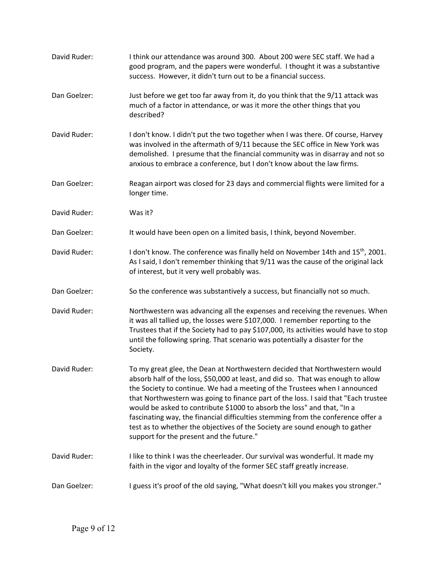| David Ruder: | I think our attendance was around 300. About 200 were SEC staff. We had a<br>good program, and the papers were wonderful. I thought it was a substantive<br>success. However, it didn't turn out to be a financial success.                                                                                                                                                                                                                                                                                                                                                                                                  |
|--------------|------------------------------------------------------------------------------------------------------------------------------------------------------------------------------------------------------------------------------------------------------------------------------------------------------------------------------------------------------------------------------------------------------------------------------------------------------------------------------------------------------------------------------------------------------------------------------------------------------------------------------|
| Dan Goelzer: | Just before we get too far away from it, do you think that the 9/11 attack was<br>much of a factor in attendance, or was it more the other things that you<br>described?                                                                                                                                                                                                                                                                                                                                                                                                                                                     |
| David Ruder: | I don't know. I didn't put the two together when I was there. Of course, Harvey<br>was involved in the aftermath of 9/11 because the SEC office in New York was<br>demolished. I presume that the financial community was in disarray and not so<br>anxious to embrace a conference, but I don't know about the law firms.                                                                                                                                                                                                                                                                                                   |
| Dan Goelzer: | Reagan airport was closed for 23 days and commercial flights were limited for a<br>longer time.                                                                                                                                                                                                                                                                                                                                                                                                                                                                                                                              |
| David Ruder: | Was it?                                                                                                                                                                                                                                                                                                                                                                                                                                                                                                                                                                                                                      |
| Dan Goelzer: | It would have been open on a limited basis, I think, beyond November.                                                                                                                                                                                                                                                                                                                                                                                                                                                                                                                                                        |
| David Ruder: | I don't know. The conference was finally held on November 14th and 15 <sup>th</sup> , 2001.<br>As I said, I don't remember thinking that 9/11 was the cause of the original lack<br>of interest, but it very well probably was.                                                                                                                                                                                                                                                                                                                                                                                              |
| Dan Goelzer: | So the conference was substantively a success, but financially not so much.                                                                                                                                                                                                                                                                                                                                                                                                                                                                                                                                                  |
| David Ruder: | Northwestern was advancing all the expenses and receiving the revenues. When<br>it was all tallied up, the losses were \$107,000. I remember reporting to the<br>Trustees that if the Society had to pay \$107,000, its activities would have to stop<br>until the following spring. That scenario was potentially a disaster for the<br>Society.                                                                                                                                                                                                                                                                            |
| David Ruder: | To my great glee, the Dean at Northwestern decided that Northwestern would<br>absorb half of the loss, \$50,000 at least, and did so. That was enough to allow<br>the Society to continue. We had a meeting of the Trustees when I announced<br>that Northwestern was going to finance part of the loss. I said that "Each trustee<br>would be asked to contribute \$1000 to absorb the loss" and that, "In a<br>fascinating way, the financial difficulties stemming from the conference offer a<br>test as to whether the objectives of the Society are sound enough to gather<br>support for the present and the future." |
| David Ruder: | I like to think I was the cheerleader. Our survival was wonderful. It made my<br>faith in the vigor and loyalty of the former SEC staff greatly increase.                                                                                                                                                                                                                                                                                                                                                                                                                                                                    |
| Dan Goelzer: | I guess it's proof of the old saying, "What doesn't kill you makes you stronger."                                                                                                                                                                                                                                                                                                                                                                                                                                                                                                                                            |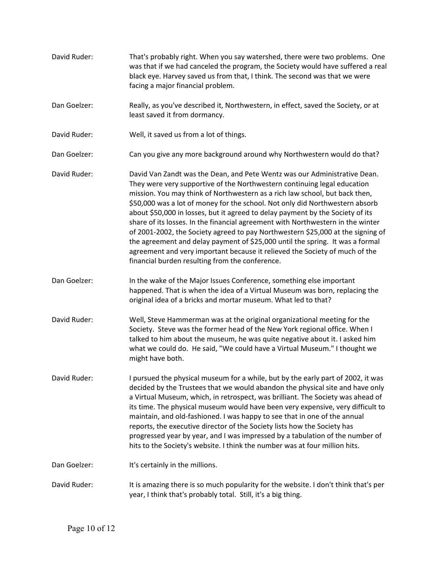- David Ruder: That's probably right. When you say watershed, there were two problems. One was that if we had canceled the program, the Society would have suffered a real black eye. Harvey saved us from that, I think. The second was that we were facing a major financial problem.
- Dan Goelzer: Really, as you've described it, Northwestern, in effect, saved the Society, or at least saved it from dormancy.
- David Ruder: Well, it saved us from a lot of things.
- Dan Goelzer: Can you give any more background around why Northwestern would do that?
- David Ruder: David Van Zandt was the Dean, and Pete Wentz was our Administrative Dean. They were very supportive of the Northwestern continuing legal education mission. You may think of Northwestern as a rich law school, but back then, \$50,000 was a lot of money for the school. Not only did Northwestern absorb about \$50,000 in losses, but it agreed to delay payment by the Society of its share of its losses. In the financial agreement with Northwestern in the winter of 2001-2002, the Society agreed to pay Northwestern \$25,000 at the signing of the agreement and delay payment of \$25,000 until the spring. It was a formal agreement and very important because it relieved the Society of much of the financial burden resulting from the conference.
- Dan Goelzer: In the wake of the Major Issues Conference, something else important happened. That is when the idea of a Virtual Museum was born, replacing the original idea of a bricks and mortar museum. What led to that?
- David Ruder: Well, Steve Hammerman was at the original organizational meeting for the Society. Steve was the former head of the New York regional office. When I talked to him about the museum, he was quite negative about it. I asked him what we could do. He said, "We could have a Virtual Museum." I thought we might have both.
- David Ruder: I pursued the physical museum for a while, but by the early part of 2002, it was decided by the Trustees that we would abandon the physical site and have only a Virtual Museum, which, in retrospect, was brilliant. The Society was ahead of its time. The physical museum would have been very expensive, very difficult to maintain, and old-fashioned. I was happy to see that in one of the annual reports, the executive director of the Society lists how the Society has progressed year by year, and I was impressed by a tabulation of the number of hits to the Society's website. I think the number was at four million hits.
- Dan Goelzer: It's certainly in the millions.
- David Ruder: It is amazing there is so much popularity for the website. I don't think that's per year, I think that's probably total. Still, it's a big thing.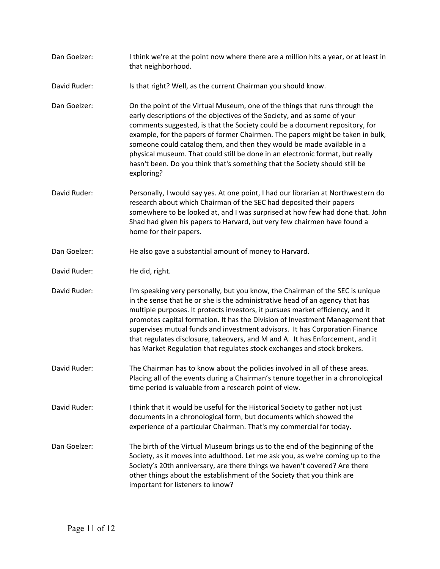| Dan Goelzer: | I think we're at the point now where there are a million hits a year, or at least in<br>that neighborhood.                                                                                                                                                                                                                                                                                                                                                                                                                                                                       |
|--------------|----------------------------------------------------------------------------------------------------------------------------------------------------------------------------------------------------------------------------------------------------------------------------------------------------------------------------------------------------------------------------------------------------------------------------------------------------------------------------------------------------------------------------------------------------------------------------------|
| David Ruder: | Is that right? Well, as the current Chairman you should know.                                                                                                                                                                                                                                                                                                                                                                                                                                                                                                                    |
| Dan Goelzer: | On the point of the Virtual Museum, one of the things that runs through the<br>early descriptions of the objectives of the Society, and as some of your<br>comments suggested, is that the Society could be a document repository, for<br>example, for the papers of former Chairmen. The papers might be taken in bulk,<br>someone could catalog them, and then they would be made available in a<br>physical museum. That could still be done in an electronic format, but really<br>hasn't been. Do you think that's something that the Society should still be<br>exploring? |
| David Ruder: | Personally, I would say yes. At one point, I had our librarian at Northwestern do<br>research about which Chairman of the SEC had deposited their papers<br>somewhere to be looked at, and I was surprised at how few had done that. John<br>Shad had given his papers to Harvard, but very few chairmen have found a<br>home for their papers.                                                                                                                                                                                                                                  |
| Dan Goelzer: | He also gave a substantial amount of money to Harvard.                                                                                                                                                                                                                                                                                                                                                                                                                                                                                                                           |
| David Ruder: | He did, right.                                                                                                                                                                                                                                                                                                                                                                                                                                                                                                                                                                   |
| David Ruder: | I'm speaking very personally, but you know, the Chairman of the SEC is unique<br>in the sense that he or she is the administrative head of an agency that has<br>multiple purposes. It protects investors, it pursues market efficiency, and it<br>promotes capital formation. It has the Division of Investment Management that<br>supervises mutual funds and investment advisors. It has Corporation Finance<br>that regulates disclosure, takeovers, and M and A. It has Enforcement, and it<br>has Market Regulation that regulates stock exchanges and stock brokers.      |
| David Ruder: | The Chairman has to know about the policies involved in all of these areas.<br>Placing all of the events during a Chairman's tenure together in a chronological<br>time period is valuable from a research point of view.                                                                                                                                                                                                                                                                                                                                                        |
| David Ruder: | I think that it would be useful for the Historical Society to gather not just<br>documents in a chronological form, but documents which showed the<br>experience of a particular Chairman. That's my commercial for today.                                                                                                                                                                                                                                                                                                                                                       |
| Dan Goelzer: | The birth of the Virtual Museum brings us to the end of the beginning of the<br>Society, as it moves into adulthood. Let me ask you, as we're coming up to the<br>Society's 20th anniversary, are there things we haven't covered? Are there<br>other things about the establishment of the Society that you think are<br>important for listeners to know?                                                                                                                                                                                                                       |